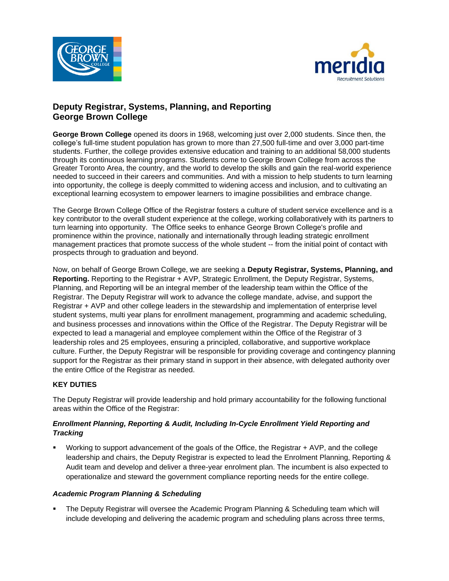



# **Deputy Registrar, Systems, Planning, and Reporting George Brown College**

**George Brown College** opened its doors in 1968, welcoming just over 2,000 students. Since then, the college's full-time student population has grown to more than 27,500 full-time and over 3,000 part-time students. Further, the college provides extensive education and training to an additional 58,000 students through its continuous learning programs. Students come to George Brown College from across the Greater Toronto Area, the country, and the world to develop the skills and gain the real-world experience needed to succeed in their careers and communities. And with a mission to help students to turn learning into opportunity, the college is deeply committed to widening access and inclusion, and to cultivating an exceptional learning ecosystem to empower learners to imagine possibilities and embrace change.

The George Brown College Office of the Registrar fosters a culture of student service excellence and is a key contributor to the overall student experience at the college, working collaboratively with its partners to turn learning into opportunity. The Office seeks to enhance George Brown College's profile and prominence within the province, nationally and internationally through leading strategic enrollment management practices that promote success of the whole student -- from the initial point of contact with prospects through to graduation and beyond.

Now, on behalf of George Brown College, we are seeking a **Deputy Registrar, Systems, Planning, and Reporting.** Reporting to the Registrar + AVP, Strategic Enrollment, the Deputy Registrar, Systems, Planning, and Reporting will be an integral member of the leadership team within the Office of the Registrar. The Deputy Registrar will work to advance the college mandate, advise, and support the Registrar + AVP and other college leaders in the stewardship and implementation of enterprise level student systems, multi year plans for enrollment management, programming and academic scheduling, and business processes and innovations within the Office of the Registrar. The Deputy Registrar will be expected to lead a managerial and employee complement within the Office of the Registrar of 3 leadership roles and 25 employees, ensuring a principled, collaborative, and supportive workplace culture. Further, the Deputy Registrar will be responsible for providing coverage and contingency planning support for the Registrar as their primary stand in support in their absence, with delegated authority over the entire Office of the Registrar as needed.

### **KEY DUTIES**

The Deputy Registrar will provide leadership and hold primary accountability for the following functional areas within the Office of the Registrar:

### *Enrollment Planning, Reporting & Audit, Including In-Cycle Enrollment Yield Reporting and Tracking*

Working to support advancement of the goals of the Office, the Registrar + AVP, and the college leadership and chairs, the Deputy Registrar is expected to lead the Enrolment Planning, Reporting & Audit team and develop and deliver a three-year enrolment plan. The incumbent is also expected to operationalize and steward the government compliance reporting needs for the entire college.

### *Academic Program Planning & Scheduling*

The Deputy Registrar will oversee the Academic Program Planning & Scheduling team which will include developing and delivering the academic program and scheduling plans across three terms,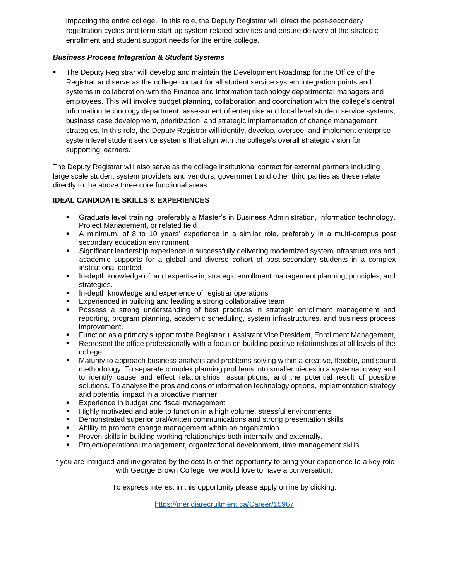impacting the entire college. In this role, the Deputy Registrar will direct the post-secondary registration cycles and term start-up system related activities and ensure delivery of the strategic enrollment and student support needs for the entire college.

### *Business Process Integration & Student Systems*

The Deputy Registrar will develop and maintain the Development Roadmap for the Office of the Registrar and serve as the college contact for all student service system integration points and systems in collaboration with the Finance and Information technology departmental managers and employees. This will involve budget planning, collaboration and coordination with the college's central information technology department, assessment of enterprise and local level student service systems, business case development, prioritization, and strategic implementation of change management strategies. In this role, the Deputy Registrar will identify, develop, oversee, and implement enterprise system level student service systems that align with the college's overall strategic vision for supporting learners.

The Deputy Registrar will also serve as the college institutional contact for external partners including large scale student system providers and vendors, government and other third parties as these relate directly to the above three core functional areas.

## **IDEAL CANDIDATE SKILLS & EXPERIENCES**

- Graduate level training, preferably a Master's in Business Administration, Information technology, Project Management, or related field
- A minimum, of 8 to 10 years' experience in a similar role, preferably in a multi-campus post secondary education environment
- Significant leadership experience in successfully delivering modernized system infrastructures and academic supports for a global and diverse cohort of post-secondary students in a complex institutional context
- In-depth knowledge of, and expertise in, strategic enrollment management planning, principles, and strategies.
- In-depth knowledge and experience of registrar operations
- Experienced in building and leading a strong collaborative team
- Possess a strong understanding of best practices in strategic enrollment management and reporting, program planning, academic scheduling, system infrastructures, and business process improvement.
- Function as a primary support to the Registrar + Assistant Vice President, Enrollment Management,
- Represent the office professionally with a focus on building positive relationships at all levels of the college.
- Maturity to approach business analysis and problems solving within a creative, flexible, and sound methodology. To separate complex planning problems into smaller pieces in a systematic way and to identify cause and effect relationships, assumptions, and the potential result of possible solutions. To analyse the pros and cons of information technology options, implementation strategy and potential impact in a proactive manner.
- Experience in budget and fiscal management
- Highly motivated and able to function in a high volume, stressful environments
- Demonstrated superior oral/written communications and strong presentation skills
- Ability to promote change management within an organization.
- Proven skills in building working relationships both internally and externally.
- Project/operational management, organizational development, time management skills

If you are intrigued and invigorated by the details of this opportunity to bring your experience to a key role with George Brown College, we would love to have a conversation.

To express interest in this opportunity please apply online by clicking:

<https://meridiarecruitment.ca/Career/15967>